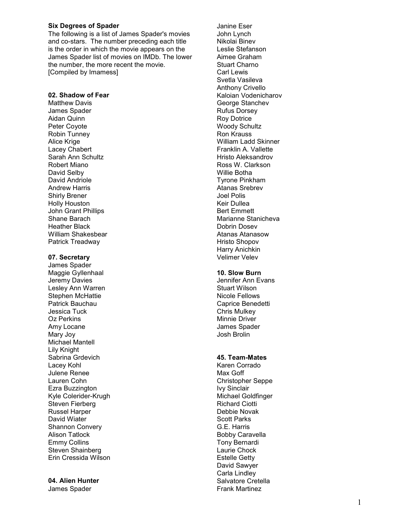## Six Degrees of Spader

The following is a list of James Spader's movies and co-stars. The number preceding each title is the order in which the movie appears on the James Spader list of movies on IMDb. The lower the number, the more recent the movie. [Compiled by Imamess]

#### 02. Shadow of Fear

Matthew Davis James Spader Aidan Quinn Peter Coyote Robin Tunney Alice Krige Lacey Chabert Sarah Ann Schultz Robert Miano David Selby David Andriole Andrew Harris Shirly Brener Holly Houston John Grant Phillips Shane Barach Heather Black William Shakesbear Patrick Treadway

#### 07. Secretary

James Spader Maggie Gyllenhaal Jeremy Davies Lesley Ann Warren Stephen McHattie Patrick Bauchau Jessica Tuck Oz Perkins Amy Locane Mary Joy Michael Mantell Lily Knight Sabrina Grdevich Lacey Kohl Julene Renee Lauren Cohn Ezra Buzzington Kyle Colerider-Krugh Steven Fierberg Russel Harper David Wiater Shannon Convery Alison Tatlock Emmy Collins Steven Shainberg Erin Cressida Wilson

# 04. Alien Hunter

James Spader

Janine Eser John Lynch Nikolai Binev Leslie Stefanson Aimee Graham Stuart Charno Carl Lewis Svetla Vasileva Anthony Crivello Kaloian Vodenicharov George Stanchev Rufus Dorsey Roy Dotrice Woody Schultz Ron Krauss William Ladd Skinner Franklin A. Vallette Hristo Aleksandrov Ross W. Clarkson Willie Botha Tyrone Pinkham Atanas Srebrev Joel Polis Keir Dullea Bert Emmett Marianne Stanicheva Dobrin Dosev Atanas Atanasow Hristo Shopov Harry Anichkin Velimer Velev

## 10. Slow Burn

Jennifer Ann Evans Stuart Wilson Nicole Fellows Caprice Benedetti Chris Mulkey Minnie Driver James Spader Josh Brolin

## 45. Team-Mates

Karen Corrado Max Goff Christopher Seppe Ivy Sinclair Michael Goldfinger Richard Ciotti Debbie Novak Scott Parks G.E. Harris Bobby Caravella Tony Bernardi Laurie Chock Estelle Getty David Sawyer Carla Lindley Salvatore Cretella Frank Martinez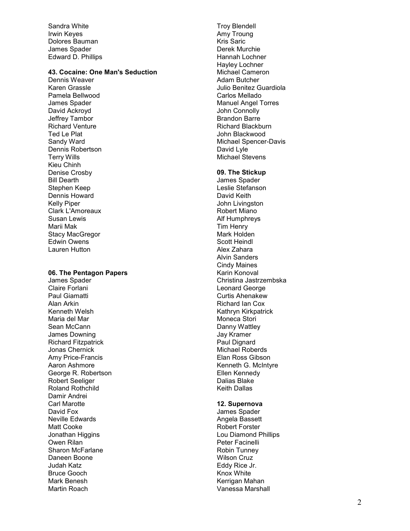Sandra White Irwin Keyes Dolores Bauman James Spader Edward D. Phillips

## 43. Cocaine: One Man's Seduction

Dennis Weaver Karen Grassle Pamela Bellwood James Spader David Ackroyd Jeffrey Tambor Richard Venture Ted Le Plat Sandy Ward Dennis Robertson Terry Wills Kieu Chinh Denise Crosby Bill Dearth Stephen Keep Dennis Howard Kelly Piper Clark L'Amoreaux Susan Lewis Marii Mak Stacy MacGregor Edwin Owens Lauren Hutton

## 06. The Pentagon Papers

James Spader Claire Forlani Paul Giamatti Alan Arkin Kenneth Welsh Maria del Mar Sean McCann James Downing Richard Fitzpatrick Jonas Chernick Amy Price-Francis Aaron Ashmore George R. Robertson Robert Seeliger Roland Rothchild Damir Andrei Carl Marotte David Fox Neville Edwards Matt Cooke Jonathan Higgins Owen Rilan Sharon McFarlane Daneen Boone Judah Katz Bruce Gooch Mark Benesh Martin Roach

Troy Blendell Amy Troung Kris Saric Derek Murchie Hannah Lochner Hayley Lochner Michael Cameron Adam Butcher Julio Benitez Guardiola Carlos Mellado Manuel Angel Torres John Connolly Brandon Barre Richard Blackburn John Blackwood Michael Spencer-Davis David Lyle Michael Stevens

#### 09. The Stickup

James Spader Leslie Stefanson David Keith John Livingston Robert Miano Alf Humphreys Tim Henry Mark Holden Scott Heindl Alex Zahara Alvin Sanders Cindy Maines Karin Konoval Christina Jastrzembska Leonard George Curtis Ahenakew Richard Ian Cox Kathryn Kirkpatrick Moneca Stori Danny Wattley Jay Kramer Paul Dignard Michael Roberds Elan Ross Gibson Kenneth G. McIntyre Ellen Kennedy Dalias Blake Keith Dallas

### 12. Supernova

James Spader Angela Bassett Robert Forster Lou Diamond Phillips Peter Facinelli Robin Tunney Wilson Cruz Eddy Rice Jr. Knox White Kerrigan Mahan Vanessa Marshall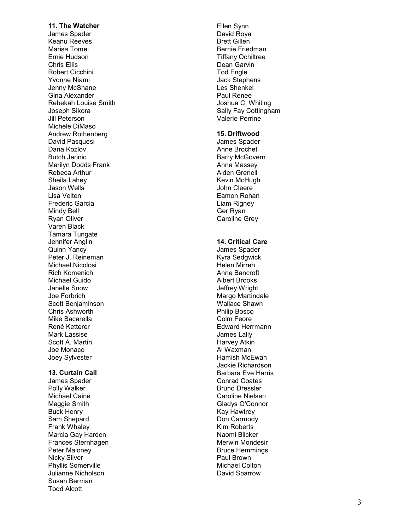11. The Watcher James Spader Keanu Reeves Marisa Tomei Ernie Hudson Chris Ellis Robert Cicchini Yvonne Niami Jenny McShane Gina Alexander Rebekah Louise Smith Joseph Sikora Jill Peterson Michele DiMaso Andrew Rothenberg David Pasquesi Dana Kozlov Butch Jerinic Marilyn Dodds Frank Rebeca Arthur Sheila Lahey Jason Wells Lisa Velten Frederic Garcia Mindy Bell Ryan Oliver Varen Black Tamara Tungate Jennifer Anglin Quinn Yancy Peter J. Reineman Michael Nicolosi Rich Komenich Michael Guido Janelle Snow Joe Forbrich Scott Benjaminson Chris Ashworth Mike Bacarella René Ketterer Mark Lassise Scott A. Martin Joe Monaco Joey Sylvester 13. Curtain Call James Spader Polly Walker Michael Caine Maggie Smith Buck Henry Sam Shepard Frank Whaley Marcia Gay Harden Frances Sternhagen

Peter Maloney Nicky Silver Phyllis Somerville Julianne Nicholson Susan Berman Todd Alcott

Ellen Synn David Roya Brett Gillen Bernie Friedman Tiffany Ochiltree Dean Garvin Tod Engle Jack Stephens Les Shenkel Paul Renee Joshua C. Whiting Sally Fay Cottingham Valerie Perrine

## 15. Driftwood

James Spader Anne Brochet Barry McGovern Anna Massey Aiden Grenell Kevin McHugh John Cleere Eamon Rohan Liam Rigney Ger Ryan Caroline Grey

## 14. Critical Care

James Spader Kyra Sedgwick Helen Mirren Anne Bancroft Albert Brooks Jeffrey Wright Margo Martindale Wallace Shawn Philip Bosco Colm Feore Edward Herrmann James Lally Harvey Atkin Al Waxman Hamish McEwan Jackie Richardson Barbara Eve Harris Conrad Coates Bruno Dressler Caroline Nielsen Gladys O'Connor Kay Hawtrey Don Carmody Kim Roberts Naomi Blicker Merwin Mondesir Bruce Hemmings Paul Brown Michael Colton David Sparrow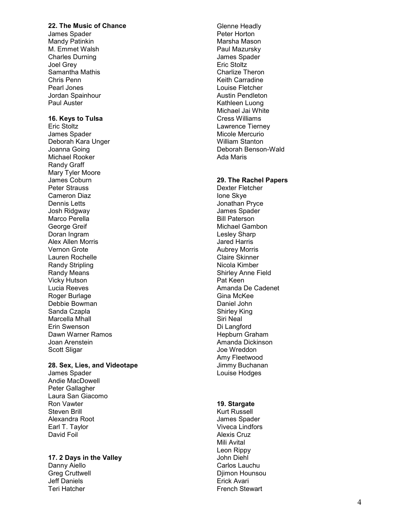## 22. The Music of Chance

James Spader Mandy Patinkin M. Emmet Walsh Charles Durning Joel Grey Samantha Mathis Chris Penn Pearl Jones Jordan Spainhour Paul Auster

### 16. Keys to Tulsa

Eric Stoltz James Spader Deborah Kara Unger Joanna Going Michael Rooker Randy Graff Mary Tyler Moore James Coburn Peter Strauss Cameron Diaz Dennis Letts Josh Ridgway Marco Perella George Greif Doran Ingram Alex Allen Morris Vernon Grote Lauren Rochelle Randy Stripling Randy Means Vicky Hutson Lucia Reeves Roger Burlage Debbie Bowman Sanda Czapla Marcella Mhall Erin Swenson Dawn Warner Ramos Joan Arenstein Scott Sligar

# 28. Sex, Lies, and Videotape

James Spader Andie MacDowell Peter Gallagher Laura San Giacomo Ron Vawter Steven Brill Alexandra Root Earl T. Taylor David Foil

#### 17. 2 Days in the Valley Danny Aiello Greg Cruttwell Jeff Daniels Teri Hatcher

Glenne Headly Peter Horton Marsha Mason Paul Mazursky James Spader Eric Stoltz Charlize Theron Keith Carradine Louise Fletcher Austin Pendleton Kathleen Luong Michael Jai White Cress Williams Lawrence Tierney Micole Mercurio William Stanton Deborah Benson-Wald Ada Maris

### 29. The Rachel Papers

Dexter Fletcher Ione Skye Jonathan Pryce James Spader Bill Paterson Michael Gambon Lesley Sharp Jared Harris Aubrey Morris Claire Skinner Nicola Kimber Shirley Anne Field Pat Keen Amanda De Cadenet Gina McKee Daniel John Shirley King Siri Neal Di Langford Hepburn Graham Amanda Dickinson Joe Wreddon Amy Fleetwood Jimmy Buchanan Louise Hodges

#### 19. Stargate

Kurt Russell James Spader Viveca Lindfors Alexis Cruz Mili Avital Leon Rippy John Diehl Carlos Lauchu Djimon Hounsou Erick Avari French Stewart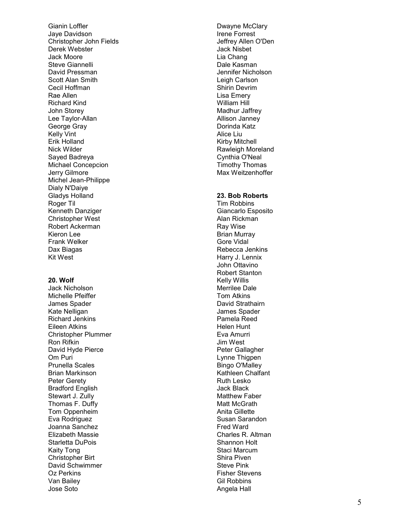Gianin Loffler Jaye Davidson Christopher John Fields Derek Webster Jack Moore Steve Giannelli David Pressman Scott Alan Smith Cecil Hoffman Rae Allen Richard Kind John Storey Lee Taylor-Allan George Gray Kelly Vint Erik Holland Nick Wilder Sayed Badreya Michael Concepcion Jerry Gilmore Michel Jean-Philippe Dialy N'Daiye Gladys Holland Roger Til Kenneth Danziger Christopher West Robert Ackerman Kieron Lee Frank Welker Dax Biagas Kit West

#### 20. Wolf

Jack Nicholson Michelle Pfeiffer James Spader Kate Nelligan Richard Jenkins Eileen Atkins Christopher Plummer Ron Rifkin David Hyde Pierce Om Puri Prunella Scales Brian Markinson Peter Gerety Bradford English Stewart J. Zully Thomas F. Duffy Tom Oppenheim Eva Rodriguez Joanna Sanchez Elizabeth Massie Starletta DuPois Kaity Tong Christopher Birt David Schwimmer Oz Perkins Van Bailey Jose Soto

Dwayne McClary Irene Forrest Jeffrey Allen O'Den Jack Nisbet Lia Chang Dale Kasman Jennifer Nicholson Leigh Carlson Shirin Devrim Lisa Emery William Hill Madhur Jaffrey Allison Janney Dorinda Katz Alice Liu Kirby Mitchell Rawleigh Moreland Cynthia O'Neal Timothy Thomas Max Weitzenhoffer

## 23. Bob Roberts

Tim Robbins Giancarlo Esposito Alan Rickman Ray Wise Brian Murray Gore Vidal Rebecca Jenkins Harry J. Lennix John Ottavino Robert Stanton Kelly Willis Merrilee Dale Tom Atkins David Strathairn James Spader Pamela Reed Helen Hunt Eva Amurri Jim West Peter Gallagher Lynne Thigpen Bingo O'Malley Kathleen Chalfant Ruth Lesko Jack Black Matthew Faber Matt McGrath Anita Gillette Susan Sarandon Fred Ward Charles R. Altman Shannon Holt Staci Marcum Shira Piven Steve Pink Fisher Stevens Gil Robbins Angela Hall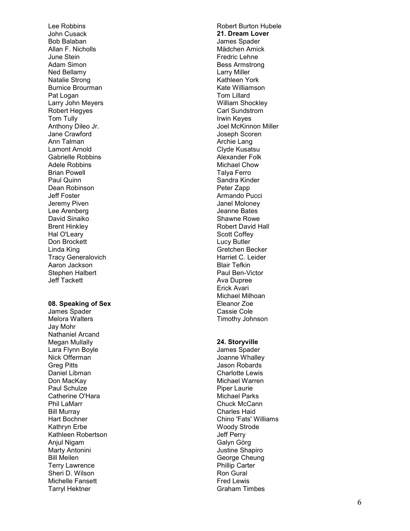Lee Robbins John Cusack Bob Balaban Allan F. Nicholls June Stein Adam Simon Ned Bellamy Natalie Strong Burnice Brourman Pat Logan Larry John Meyers Robert Hegyes Tom Tully Anthony Dileo Jr. Jane Crawford Ann Talman Lamont Arnold Gabrielle Robbins Adele Robbins Brian Powell Paul Quinn Dean Robinson Jeff Foster Jeremy Piven Lee Arenberg David Sinaiko Brent Hinkley Hal O'Leary Don Brockett Linda King Tracy Generalovich Aaron Jackson Stephen Halbert Jeff Tackett

#### 08. Speaking of Sex

James Spader Melora Walters Jay Mohr Nathaniel Arcand Megan Mullally Lara Flynn Boyle Nick Offerman Greg Pitts Daniel Libman Don MacKay Paul Schulze Catherine O'Hara Phil LaMarr Bill Murray Hart Bochner Kathryn Erbe Kathleen Robertson Anjul Nigam Marty Antonini Bill Meilen Terry Lawrence Sheri D. Wilson Michelle Fansett Tarryl Hektner

Robert Burton Hubele 21. Dream Lover James Spader Mädchen Amick Fredric Lehne Bess Armstrong Larry Miller Kathleen York Kate Williamson Tom Lillard William Shockley Carl Sundstrom Irwin Keyes Joel McKinnon Miller Joseph Scoren Archie Lang Clyde Kusatsu Alexander Folk Michael Chow Talya Ferro Sandra Kinder Peter Zapp Armando Pucci Janel Moloney Jeanne Bates Shawne Rowe Robert David Hall Scott Coffey Lucy Butler Gretchen Becker Harriet C. Leider Blair Tefkin Paul Ben-Victor Ava Dupree Erick Avari Michael Milhoan Eleanor Zoe Cassie Cole Timothy Johnson

#### 24. Storyville

James Spader Joanne Whalley Jason Robards Charlotte Lewis Michael Warren Piper Laurie Michael Parks Chuck McCann Charles Haid Chino 'Fats' Williams Woody Strode Jeff Perry Galyn Görg Justine Shapiro George Cheung Phillip Carter Ron Gural Fred Lewis Graham Timbes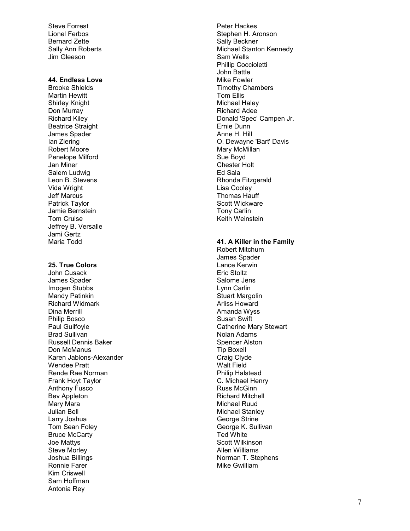Steve Forrest Lionel Ferbos Bernard Zette Sally Ann Roberts Jim Gleeson

#### 44. Endless Love

Brooke Shields Martin Hewitt Shirley Knight Don Murray Richard Kiley Beatrice Straight James Spader Ian Ziering Robert Moore Penelope Milford Jan Miner Salem Ludwig Leon B. Stevens Vida Wright Jeff Marcus Patrick Taylor Jamie Bernstein Tom Cruise Jeffrey B. Versalle Jami Gertz Maria Todd

## 25. True Colors

John Cusack James Spader Imogen Stubbs Mandy Patinkin Richard Widmark Dina Merrill Philip Bosco Paul Guilfoyle Brad Sullivan Russell Dennis Baker Don McManus Karen Jablons-Alexander Wendee Pratt Rende Rae Norman Frank Hoyt Taylor Anthony Fusco Bev Appleton Mary Mara Julian Bell Larry Joshua Tom Sean Foley Bruce McCarty Joe Mattys Steve Morley Joshua Billings Ronnie Farer Kim Criswell Sam Hoffman Antonia Rey

Peter Hackes Stephen H. Aronson Sally Beckner Michael Stanton Kennedy Sam Wells Phillip Coccioletti John Battle Mike Fowler Timothy Chambers Tom Ellis Michael Haley Richard Adee Donald 'Spec' Campen Jr. Ernie Dunn Anne H. Hill O. Dewayne 'Bart' Davis Mary McMillan Sue Boyd Chester Holt Ed Sala Rhonda Fitzgerald Lisa Cooley Thomas Hauff Scott Wickware Tony Carlin Keith Weinstein

#### 41. A Killer in the Family

Robert Mitchum James Spader Lance Kerwin Eric Stoltz Salome Jens Lynn Carlin Stuart Margolin Arliss Howard Amanda Wyss Susan Swift Catherine Mary Stewart Nolan Adams Spencer Alston Tip Boxell Craig Clyde Walt Field Philip Halstead C. Michael Henry Russ McGinn Richard Mitchell Michael Ruud Michael Stanley George Strine George K. Sullivan Ted White Scott Wilkinson Allen Williams Norman T. Stephens Mike Gwilliam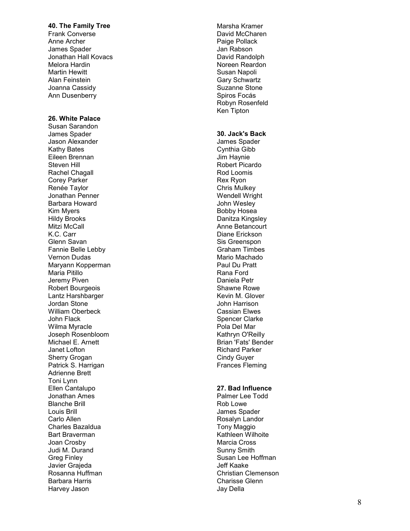## 40. The Family Tree

Frank Converse Anne Archer James Spader Jonathan Hall Kovacs Melora Hardin Martin Hewitt Alan Feinstein Joanna Cassidy Ann Dusenberry

## 26. White Palace

Susan Sarandon James Spader Jason Alexander Kathy Bates Eileen Brennan Steven Hill Rachel Chagall Corey Parker Renée Taylor Jonathan Penner Barbara Howard Kim Myers Hildy Brooks Mitzi McCall K.C. Carr Glenn Savan Fannie Belle Lebby Vernon Dudas Maryann Kopperman Maria Pitillo Jeremy Piven Robert Bourgeois Lantz Harshbarger Jordan Stone William Oberbeck John Flack Wilma Myracle Joseph Rosenbloom Michael E. Arnett Janet Lofton Sherry Grogan Patrick S. Harrigan Adrienne Brett Toni Lynn Ellen Cantalupo Jonathan Ames Blanche Brill Louis Brill Carlo Allen Charles Bazaldua Bart Braverman Joan Crosby Judi M. Durand Greg Finley Javier Grajeda Rosanna Huffman Barbara Harris Harvey Jason

Marsha Kramer David McCharen Paige Pollack Jan Rabson David Randolph Noreen Reardon Susan Napoli Gary Schwartz Suzanne Stone Spiros Focás Robyn Rosenfeld Ken Tipton

## 30. Jack's Back

James Spader Cynthia Gibb Jim Haynie Robert Picardo Rod Loomis Rex Ryon Chris Mulkey Wendell Wright John Wesley Bobby Hosea Danitza Kingsley Anne Betancourt Diane Erickson Sis Greenspon Graham Timbes Mario Machado Paul Du Pratt Rana Ford Daniela Petr Shawne Rowe Kevin M. Glover John Harrison Cassian Elwes Spencer Clarke Pola Del Mar Kathryn O'Reilly Brian 'Fats' Bender Richard Parker Cindy Guyer Frances Fleming

## 27. Bad Influence

Palmer Lee Todd Rob Lowe James Spader Rosalyn Landor Tony Maggio Kathleen Wilhoite Marcia Cross Sunny Smith Susan Lee Hoffman Jeff Kaake Christian Clemenson Charisse Glenn Jay Della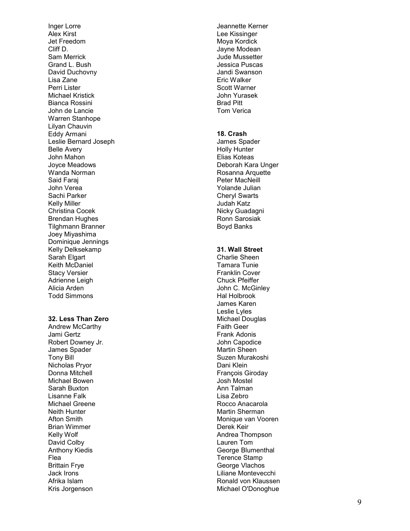Inger Lorre Alex Kirst Jet Freedom Cliff D. Sam Merrick Grand L. Bush David Duchovny Lisa Zane Perri Lister Michael Kristick Bianca Rossini John de Lancie Warren Stanhope Lilyan Chauvin Eddy Armani Leslie Bernard Joseph Belle Avery John Mahon Joyce Meadows Wanda Norman Said Faraj John Verea Sachi Parker Kelly Miller Christina Cocek Brendan Hughes Tilghmann Branner Joey Miyashima Dominique Jennings Kelly Delksekamp Sarah Elgart Keith McDaniel Stacy Versier Adrienne Leigh Alicia Arden Todd Simmons

### 32. Less Than Zero

Andrew McCarthy Jami Gertz Robert Downey Jr. James Spader Tony Bill Nicholas Pryor Donna Mitchell Michael Bowen Sarah Buxton Lisanne Falk Michael Greene Neith Hunter Afton Smith Brian Wimmer Kelly Wolf David Colby Anthony Kiedis Flea Brittain Frye Jack Irons Afrika Islam Kris Jorgenson

Jeannette Kerner Lee Kissinger Moya Kordick Jayne Modean Jude Mussetter Jessica Puscas Jandi Swanson Eric Walker Scott Warner John Yurasek Brad Pitt Tom Verica

## 18. Crash

James Spader Holly Hunter Elias Koteas Deborah Kara Unger Rosanna Arquette Peter MacNeill Yolande Julian Cheryl Swarts Judah Katz Nicky Guadagni Ronn Sarosiak Boyd Banks

### 31. Wall Street

Charlie Sheen Tamara Tunie Franklin Cover Chuck Pfeiffer John C. McGinley Hal Holbrook James Karen Leslie Lyles Michael Douglas Faith Geer Frank Adonis John Capodice Martin Sheen Suzen Murakoshi Dani Klein François Giroday Josh Mostel Ann Talman Lisa Zebro Rocco Anacarola Martin Sherman Monique van Vooren Derek Keir Andrea Thompson Lauren Tom George Blumenthal Terence Stamp George Vlachos Liliane Montevecchi Ronald von Klaussen Michael O'Donoghue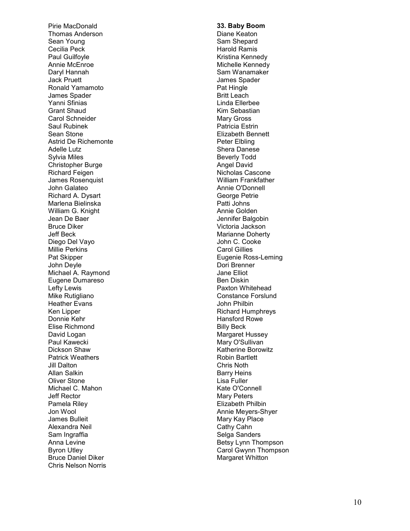Pirie MacDonald Thomas Anderson Sean Young Cecilia Peck Paul Guilfoyle Annie McEnroe Daryl Hannah Jack Pruett Ronald Yamamoto James Spader Yanni Sfinias Grant Shaud Carol Schneider Saul Rubinek Sean Stone Astrid De Richemonte Adelle Lutz Sylvia Miles Christopher Burge Richard Feigen James Rosenquist John Galateo Richard A. Dysart Marlena Bielinska William G. Knight Jean De Baer Bruce Diker Jeff Beck Diego Del Vayo Millie Perkins Pat Skipper John Deyle Michael A. Raymond Eugene Dumareso Lefty Lewis Mike Rutigliano Heather Evans Ken Lipper Donnie Kehr Elise Richmond David Logan Paul Kawecki Dickson Shaw Patrick Weathers Jill Dalton Allan Salkin Oliver Stone Michael C. Mahon Jeff Rector Pamela Riley Jon Wool James Bulleit Alexandra Neil Sam Ingraffia Anna Levine Byron Utley Bruce Daniel Diker Chris Nelson Norris

33. Baby Boom Diane Keaton Sam Shepard Harold Ramis Kristina Kennedy Michelle Kennedy Sam Wanamaker James Spader Pat Hingle Britt Leach Linda Ellerbee Kim Sebastian Mary Gross Patricia Estrin Elizabeth Bennett Peter Elbling Shera Danese Beverly Todd Angel David Nicholas Cascone William Frankfather Annie O'Donnell George Petrie Patti Johns Annie Golden Jennifer Balgobin Victoria Jackson Marianne Doherty John C. Cooke Carol Gillies Eugenie Ross-Leming Dori Brenner Jane Elliot Ben Diskin Paxton Whitehead Constance Forslund John Philbin Richard Humphreys Hansford Rowe Billy Beck Margaret Hussey Mary O'Sullivan Katherine Borowitz Robin Bartlett Chris Noth Barry Heins Lisa Fuller Kate O'Connell Mary Peters Elizabeth Philbin Annie Meyers-Shyer Mary Kay Place Cathy Cahn Selga Sanders Betsy Lynn Thompson Carol Gwynn Thompson Margaret Whitton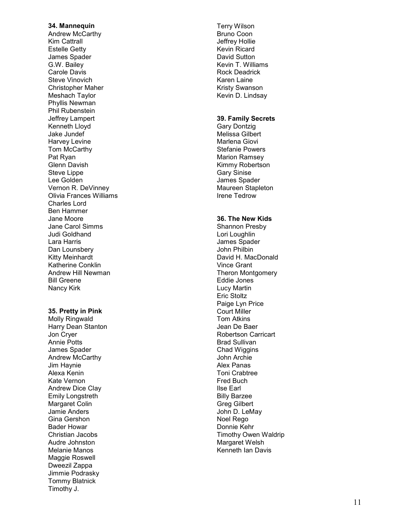### 34. Mannequin

Andrew McCarthy Kim Cattrall Estelle Getty James Spader G.W. Bailey Carole Davis Steve Vinovich Christopher Maher Meshach Taylor Phyllis Newman Phil Rubenstein Jeffrey Lampert Kenneth Lloyd Jake Jundef Harvey Levine Tom McCarthy Pat Ryan Glenn Davish Steve Lippe Lee Golden Vernon R. DeVinney Olivia Frances Williams Charles Lord Ben Hammer Jane Moore Jane Carol Simms Judi Goldhand Lara Harris Dan Lounsbery Kitty Meinhardt Katherine Conklin Andrew Hill Newman Bill Greene Nancy Kirk

#### 35. Pretty in Pink

Molly Ringwald Harry Dean Stanton Jon Cryer Annie Potts James Spader Andrew McCarthy Jim Haynie Alexa Kenin Kate Vernon Andrew Dice Clay Emily Longstreth Margaret Colin Jamie Anders Gina Gershon Bader Howar Christian Jacobs Audre Johnston Melanie Manos Maggie Roswell Dweezil Zappa Jimmie Podrasky Tommy Blatnick Timothy J.

Terry Wilson Bruno Coon Jeffrey Hollie Kevin Ricard David Sutton Kevin T. Williams Rock Deadrick Karen Laine Kristy Swanson Kevin D. Lindsay

## 39. Family Secrets

Gary Dontzig Melissa Gilbert Marlena Giovi Stefanie Powers Marion Ramsey Kimmy Robertson Gary Sinise James Spader Maureen Stapleton Irene Tedrow

## 36. The New Kids

Shannon Presby Lori Loughlin James Spader John Philbin David H. MacDonald Vince Grant Theron Montgomery Eddie Jones Lucy Martin Eric Stoltz Paige Lyn Price Court Miller Tom Atkins Jean De Baer Robertson Carricart Brad Sullivan Chad Wiggins John Archie Alex Panas Toni Crabtree Fred Buch Ilse Earl Billy Barzee Greg Gilbert John D. LeMay Noel Rego Donnie Kehr Timothy Owen Waldrip Margaret Welsh Kenneth Ian Davis